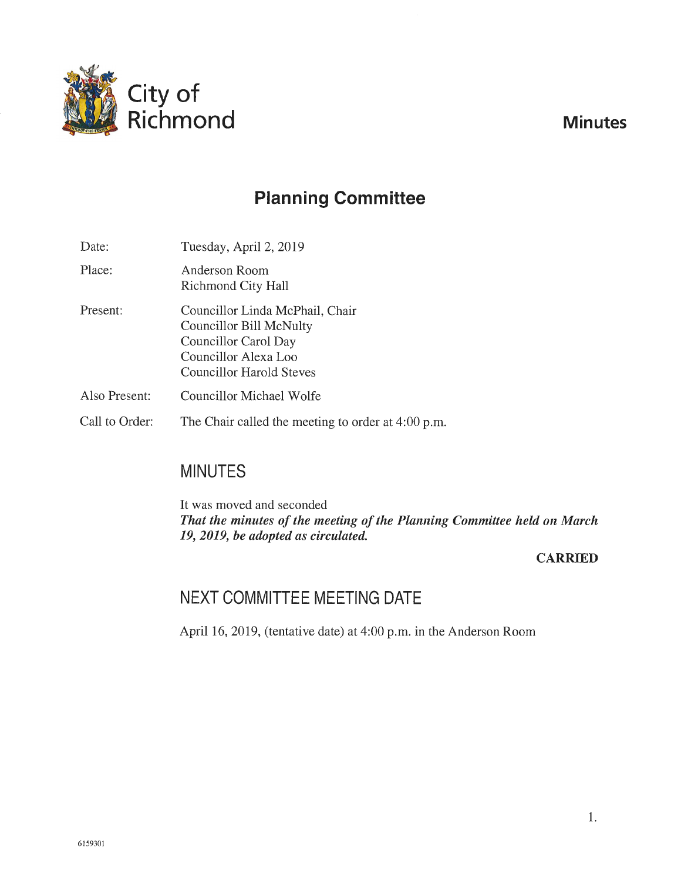

# **Planning Committee**

| Date:          | Tuesday, April 2, 2019                                                                                                                        |
|----------------|-----------------------------------------------------------------------------------------------------------------------------------------------|
| Place:         | Anderson Room<br>Richmond City Hall                                                                                                           |
| Present:       | Councillor Linda McPhail, Chair<br>Councillor Bill McNulty<br>Councillor Carol Day<br>Councillor Alexa Loo<br><b>Councillor Harold Steves</b> |
| Also Present:  | Councillor Michael Wolfe                                                                                                                      |
| Call to Order: | The Chair called the meeting to order at 4:00 p.m.                                                                                            |

## **MINUTES**

It was moved and seconded *That the minutes of the meeting of the Planning Committee held on March 19, 2019, be adopted as circulated.* 

#### **CARRIED**

## **NEXT COMMITTEE MEETING DATE**

April 16, 2019, (tentative date) at 4:00 p.m. in the Anderson Room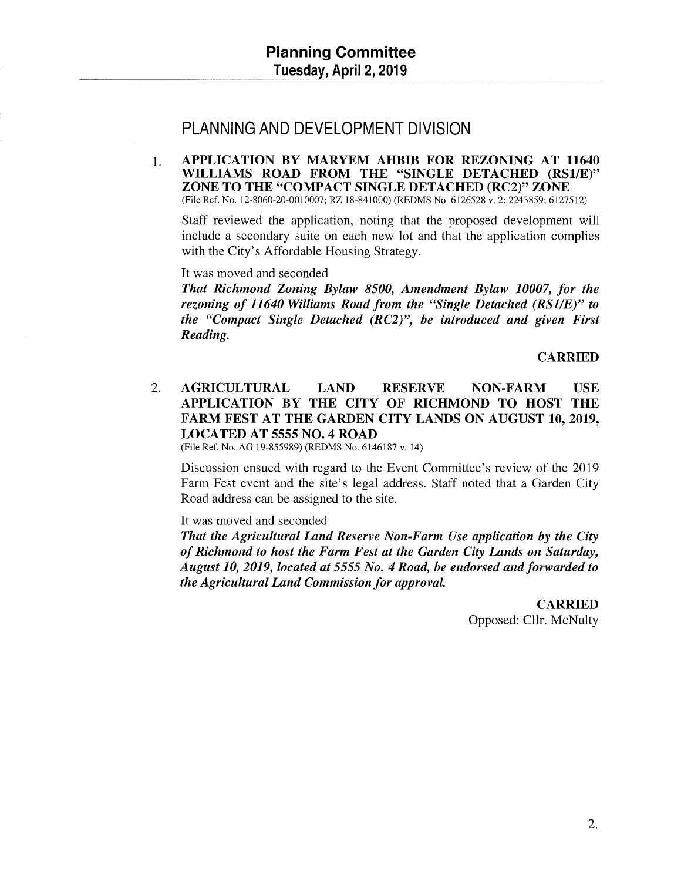## PLANNING AND DEVELOPMENT DIVISION

1. APPLICATION BY MARYEM AHBIB FOR REZONING AT 11640 WILLIAMS ROAD FROM THE "SINGLE DETACHED (RS1/E)" ZONE TO THE "COMPACT SINGLE DETACHED (RC2)" ZONE (File Ref. No. 12-8060-20-0010007; RZ 18-841000) (REDMS No. 6126528 v. 2; 2243859; 6127512)

Staff reviewed the application, noting that the proposed development will include a secondary suite on each new lot and that the application complies with the City's Affordable Housing Strategy.

It was moved and seconded

*That Richmond Zoning Bylaw 8500, Amendment Bylaw 10007, for the rezoning of 11640 Williams Road from the "Single Detached (RS1/E)" to the "Compact Single Detached (RC2)", be introduced and given First Reading.* 

CARRIED

2. AGRICULTURAL LAND RESERVE NON-FARM USE APPLICATION BY THE CITY OF RICHMOND TO HOST THE FARM FEST AT THE GARDEN CITY LANDS ON AUGUST 10, 2019, LOCATED AT 5555 NO.4 ROAD

(File Ref. No. AG 19-855989) (REDMS No. 6146187 v. 14)

Discussion ensued with regard to the Event Committee's review of the 2019 Farm Fest event and the site's legal address. Staff noted that a Garden City Road address can be assigned to the site.

It was moved and seconded

*That the Agricultural Land Reserve Non-Farm Use application by the City of Richmond to host the Farm Fest at the Garden City Lands on Saturday, August 10, 2019, located at* 5555 *No. 4 Road, be endorsed and forwarded to the Agricultural Land Commission for approval.* 

> CARRIED Opposed: Cllr. McNulty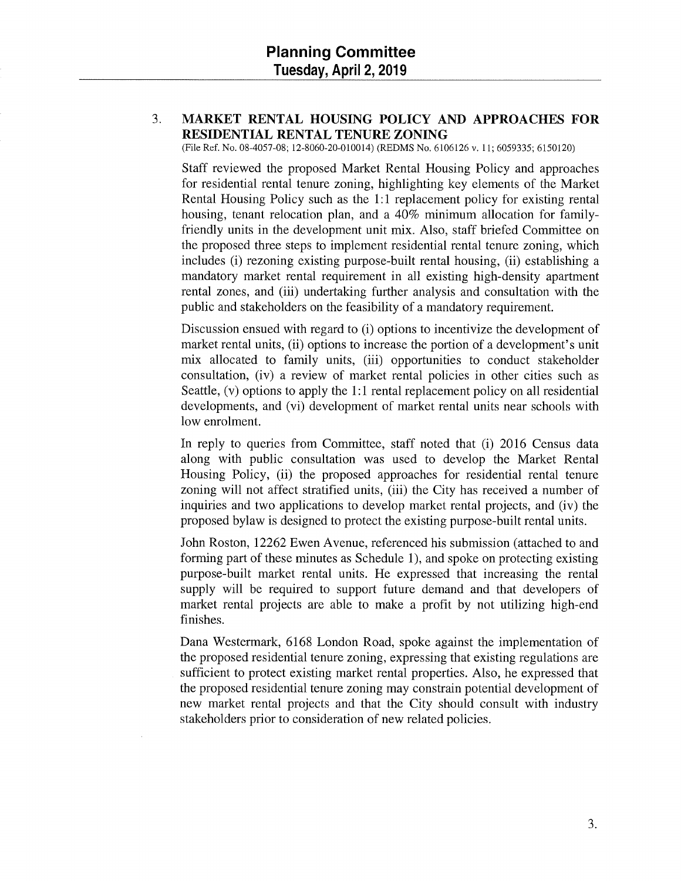#### 3. **MARKET RENTAL HOUSING POLICY AND APPROACHES FOR RESIDENTIAL RENTAL TENURE ZONING**

(File Ref. No. 08-4057-08; 12-8060-20-010014) (REDMS No. 6106126 v. 11; 6059335; 6150120)

Staff reviewed the proposed Market Rental Housing Policy and approaches for residential rental tenure zoning, highlighting key elements of the Market Rental Housing Policy such as the 1:1 replacement policy for existing rental housing, tenant relocation plan, and a 40% minimum allocation for familyfriendly units in the development unit mix. Also, staff briefed Committee on the proposed three steps to implement residential rental tenure zoning, which includes (i) rezoning existing purpose-built rental housing, (ii) establishing a mandatory market rental requirement in all existing high-density apartment rental zones, and (iii) undertaking further analysis and consultation with the public and stakeholders on the feasibility of a mandatory requirement.

Discussion ensued with regard to (i) options to incentivize the development of market rental units, (ii) options to increase the portion of a development's unit mix allocated to family units, (iii) opportunities to conduct stakeholder consultation, (iv) a review of market rental policies in other cities such as Seattle, (v) options to apply the 1:1 rental replacement policy on all residential developments, and (vi) development of market rental units near schools with low enrolment.

In reply to queries from Committee, staff noted that (i) 2016 Census data along with public consultation was used to develop the Market Rental Housing Policy, (ii) the proposed approaches for residential rental tenure zoning will not affect stratified units, (iii) the City has received a number of inquiries and two applications to develop market rental projects, and (iv) the proposed bylaw is designed to protect the existing purpose-built rental units.

John Roston, 12262 Ewen Avenue, referenced his submission (attached to and forming part of these minutes as Schedule 1), and spoke on protecting existing purpose-built market rental units. He expressed that increasing the rental supply will be required to support future demand and that developers of market rental projects are able to make a profit by not utilizing high-end finishes.

Dana Westermark, 6168 London Road, spoke against the implementation of the proposed residential tenure zoning, expressing that existing regulations are sufficient to protect existing market rental properties. Also, he expressed that the proposed residential tenure zoning may constrain potential development of new market rental projects and that the City should consult with industry stakeholders prior to consideration of new related policies.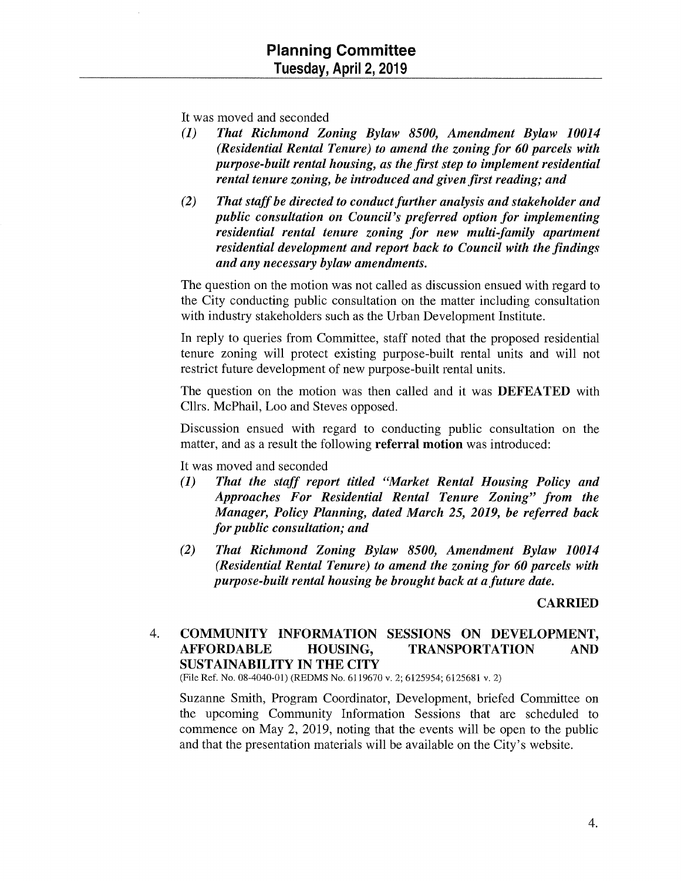It was moved and seconded

- (1) *That Richmond Zoning Bylaw 8500, Amendment Bylaw 10014 (Residential Rental Tenure) to amend the zoning for 60 parcels with purpose-built rental housing, as the first step to implement residential rental tenure zoning, be introduced and given first reading; and*
- *(2) That staff be directed to conduct further analysis and stakeholder and public consultation on Council's preferred option for implementing residential rental tenure zoning for new multi-family apartment residential development and report back to Council with the findings and any necessary bylaw amendments.*

The question on the motion was not called as discussion ensued with regard to the City conducting public consultation on the matter including consultation with industry stakeholders such as the Urban Development Institute.

In reply to queries from Committee, staff noted that the proposed residential tenure zoning will protect existing purpose-built rental units and will not restrict future development of new purpose-built rental units.

The question on the motion was then called and it was DEFEATED with Cllrs. McPhail, Loo and Steves opposed.

Discussion ensued with regard to conducting public consultation on the matter, and as a result the following **referral motion** was introduced:

It was moved and seconded

- (1) *That the staff report titled "Market Rental Housing Policy and Approaches For Residential Rental Tenure Zoning" from the Manager, Policy Planning, dated March 25, 2019, be referred back for public consultation; and*
- *(2) That Richmond Zoning Bylaw 8500, Amendment Bylaw 10014 (Residential Rental Tenure) to amend the zoning for 60 parcels with purpose-built rental housing be brought back at a future date.*

#### CARRIED

#### 4. COMMUNITY INFORMATION SESSIONS ON DEVELOPMENT, AFFORDABLE HOUSING, TRANSPORTATION AND SUSTAINABILITY IN THE CITY

(File Ref. No. 08-4040-01) (REDMS No. 6119670 v. 2; 6125954; 6125681 v. 2)

Suzanne Smith, Program Coordinator, Development, briefed Committee on the upcoming Community Information Sessions that are scheduled to commence on May 2, 2019, noting that the events will be open to the public and that the presentation materials will be available on the City's website.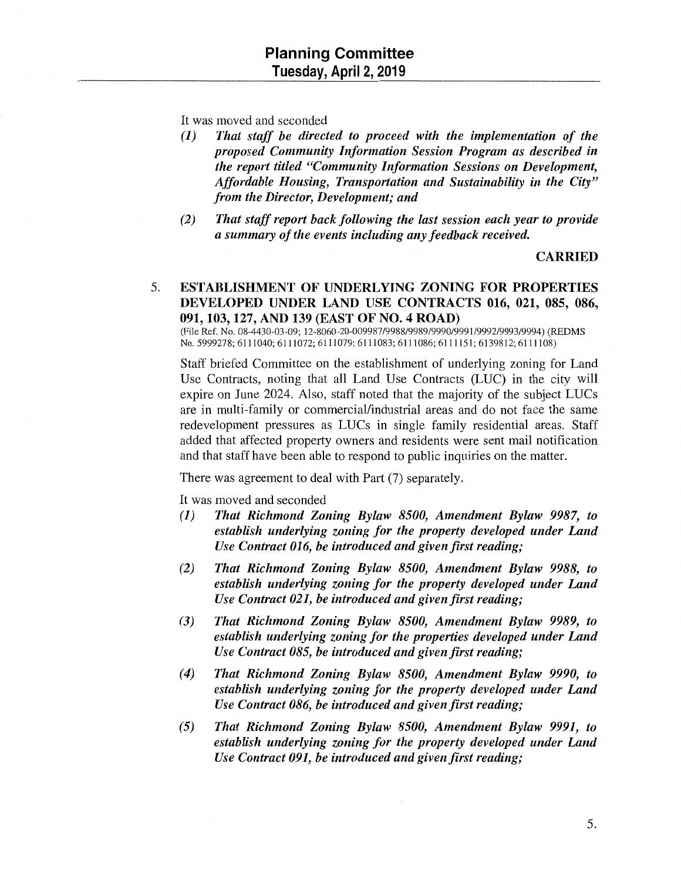It was moved and seconded

- *(1) That staff be directed to proceed with the implementation of the proposed Community Information Session Program as described in the report titled "Community Information Sessions on Development, Affordable Housing, Transportation and Sustainability in the City" from the Director, Development; and*
- *(2) That staff report back following the last session each year to provide a summary of the events including any feedback received.*

CARRIED

#### 5. ESTABLISHMENT OF UNDERLYING ZONING FOR PROPERTIES DEVELOPED UNDER LAND USE CONTRACTS 016, 021, 085, 086, 091,103,127, AND 139 (EAST OF NO.4 ROAD)

(File Ref. No. 08-4430-03-09; 12-8060-20-009987/9988/9989/9990/9991/9992/9993/9994) (REDMS No. 5999278; 6111040; 6111072; 6111079; 6111083; 6111086; 6111151; 6139812; 6111108)

Staff briefed Committee on the establishment of underlying zoning for Land Use Contracts, noting that all Land Use Contracts (LUC) in the city will expire on June 2024. Also, staff noted that the majority of the subject LUCs are in multi-family or commercial/industrial areas and do not face the same redevelopment pressures as LUCs in single family residential areas. Staff added that affected property owners and residents were sent mail notification and that staff have been able to respond to public inquiries on the matter.

There was agreement to deal with Part (7) separately.

It was moved and seconded

- (1) *That Richmond Zoning Bylaw 8500, Amendment Bylaw 9987, to establish underlying zoning for the property developed under Land Use Contract 016, be introduced and given first reading;*
- *(2) That Richmond Zoning Bylaw 8500, Amendment Bylaw 9988, to establish underlying zoning for the property developed under Land Use Contract 021, be introduced and given first reading;*
- *(3) That Richmond Zoning Bylaw 8500, Amendment Bylaw 9989, to establish underlying zoning for the properties developed under Land Use Contract 085, be introduced and given first reading;*
- *(4) That Richmond Zoning Bylaw 8500, Amendment Bylaw 9990, to establish underlying zoning for the property developed under Land Use Contract 086, be introduced and given first reading;*
- *(5) That Richmond Zoning Bylaw 8500, Amendment Bylaw 9991, to establish underlying zoning for the property developed under Land Use Contract 091, be introduced and given first reading;*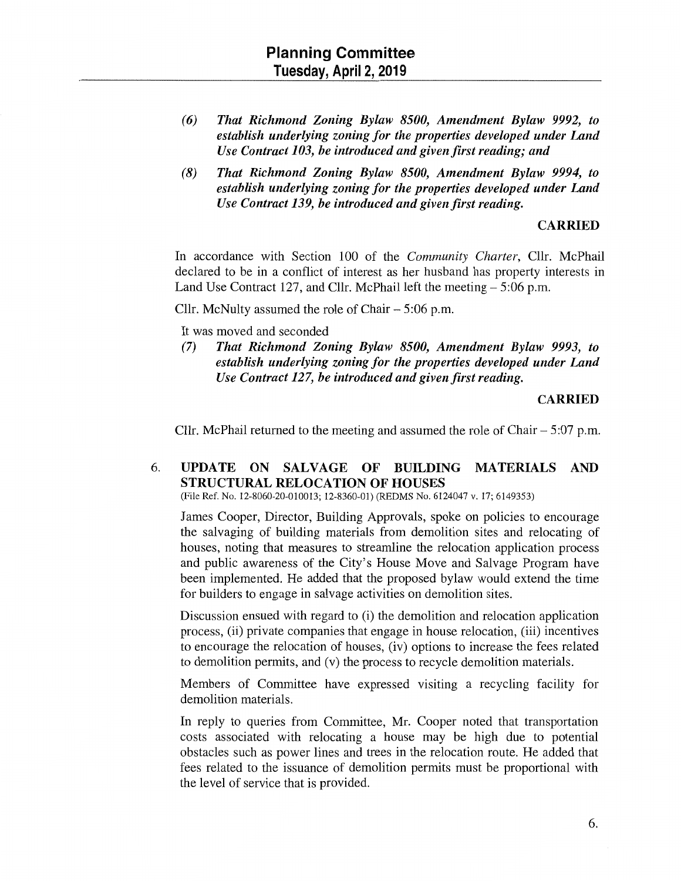- *(6) That Richmond Zoning Bylaw 8500, Amendment Bylaw 9992, to establish underlying zoning for the properties developed under Land Use Contract 103, be introduced and given first reading; and*
- (8) *That Richmond Zoning Bylaw 8500, Amendment Bylaw 9994, to establish underlying zoning for the properties developed under Land Use Contract 139, be introduced and given first reading.*

#### **CARRIED**

In accordance with Section 100 of the *Community Charter,* Cllr. McPhail declared to be in a conflict of interest as her husband has property interests in Land Use Contract 127, and Cllr. McPhail left the meeting  $-5:06$  p.m.

Cllr. McNulty assumed the role of Chair  $-5:06$  p.m.

It was moved and seconded

(7) *That Richmond Zoning Bylaw 8500, Amendment Bylaw 9993, to establish underlying zoning for the properties developed under Land Use Contract 127, be introduced and given first reading.* 

#### **CARRIED**

Cllr. McPhail returned to the meeting and assumed the role of Chair $-5:07$  p.m.

#### 6. **UPDATE ON SALVAGE OF BUILDING MATERIALS AND STRUCTURAL RELOCATION OF HOUSES**

(File Ref. No. 12-8060-20-010013; 12-8360-01) (REDMS No. 6124047 v. 17; 6149353)

James Cooper, Director, Building Approvals, spoke on policies to encourage the salvaging of building materials from demolition sites and relocating of houses, noting that measures to streamline the relocation application process and public awareness of the City's House Move and Salvage Program have been implemented. He added that the proposed bylaw would extend the time for builders to engage in salvage activities on demolition sites.

Discussion ensued with regard to (i) the demolition and relocation application process, (ii) private companies that engage in house relocation, (iii) incentives to encourage the relocation of houses, (iv) options to increase the fees related to demolition permits, and (v) the process to recycle demolition materials.

Members of Committee have expressed visiting a recycling facility for demolition materials.

In reply to queries from Committee, Mr. Cooper noted that transportation costs associated with relocating a house may be high due to potential obstacles such as power lines and trees in the relocation route. He added that fees related to the issuance of demolition permits must be proportional with the level of service that is provided.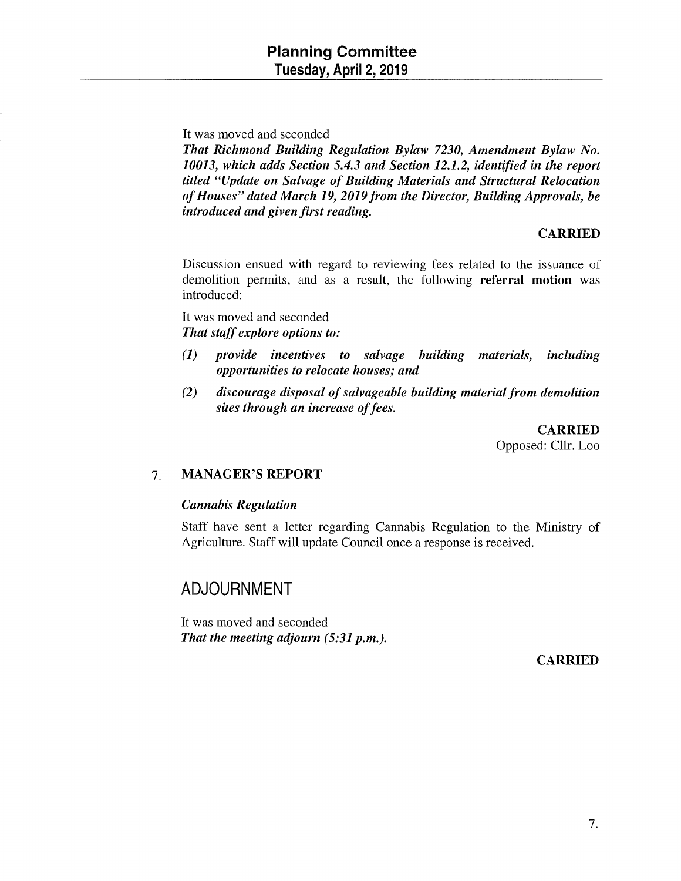It was moved and seconded

*That Richmond Building Regulation Bylaw 7230, Amendment Bylaw No. 10013, which adds Section 5.4.3 and Section 12.1.2, identified in the report titled "Update on Salvage of Building Materials and Structural Relocation of Houses" dated March 19, 2019 from the Director, Building Approvals, be introduced and given first reading.* 

#### CARRIED

Discussion ensued with regard to reviewing fees related to the issuance of demolition permits, and as a result, the following referral motion was introduced:

It was moved and seconded *That staff explore options to:* 

- (1) *provide incentives to salvage building materials, including opportunities to relocate houses; and*
- *(2) discourage disposal of salvageable building material from demolition sites through an increase of fees.*

CARRIED Opposed: Cllr. Loo

#### 7. MANAGER'S **REPORT**

#### *Cannabis Regulation*

Staff have sent a letter regarding Cannabis Regulation to the Ministry of Agriculture. Staff will update Council once a response is received.

### **ADJOURNMENT**

It was moved and seconded That the meeting adjourn (5:31 p.m.).

CARRIED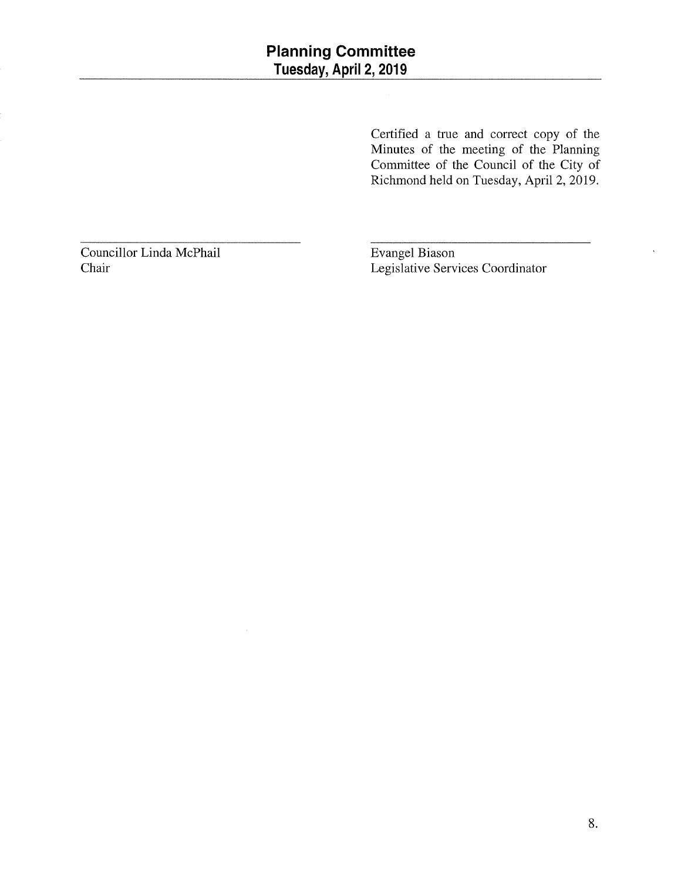Certified a true and correct copy of the Minutes of the meeting of the Planning Committee of the Council of the City of Richmond held on Tuesday, April2, 2019.

Councillor Linda McPhail Chair

Evangel Biason Legislative Services Coordinator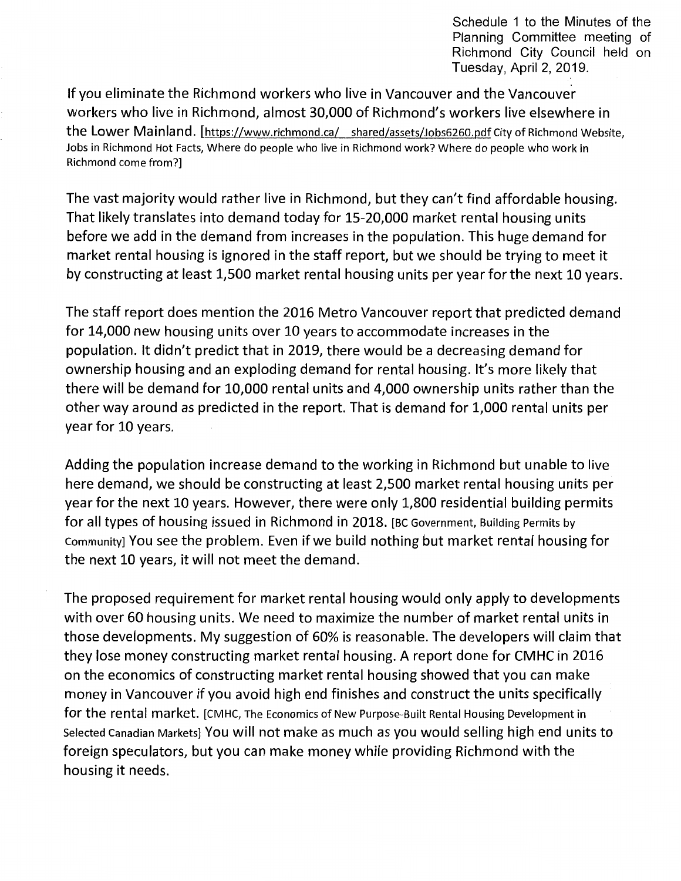Schedule 1 to the Minutes of the Planning Committee meeting of Richmond City Council held on Tuesday, April 2, 2019.

If you eliminate the Richmond workers who live in Vancouver and the Vancouver workers who live in Richmond, almost 30,000 of Richmond's workers live elsewhere in the Lower Mainland. [https://www.richmond.ca/ shared/assets/Jobs6260.pdf City of Richmond Website, Jobs in Richmond Hot Facts, Where do people who live in Richmond work? Where do people who work in Richmond come from?]

The vast majority would rather live in Richmond, but they can't find affordable housing. That likely translates into demand today for 15-20,000 market rental housing units before we add in the demand from increases in the population. This huge demand for market rental housing is ignored in the staff report, but we should be trying to meet it by constructing at least 1,500 market rental housing units per year for the next 10 years.

The staff report does mention the 2016 Metro Vancouver report that predicted demand for 14,000 new housing units over 10 years to accommodate increases in the population. It didn't predict that in 2019, there would be a decreasing demand for ownership housing and an exploding demand for rental housing. It's more likely that there will be demand for 10,000 rental units and 4,000 ownership units rather than the other way around as predicted in the report. That is demand for 1,000 rental units per year for 10 years.

Adding the population increase demand to the working in Richmond but unable to live here demand, we should be constructing at least 2,500 market rental housing units per year for the next 10 years. However, there were only 1,800 residential building permits for all types of housing issued in Richmond in 2018. [BC Government, Building Permits by Community] You see the problem. Even if we build nothing but market rental housing for the next 10 years, it will not meet the demand.

The proposed requirement for market rental housing would only apply to developments with over 60 housing units. We need to maximize the number of market rental units in those developments. My suggestion of 60% is reasonable. The developers will claim that they lose money constructing market rental housing. A report done for CMHC in 2016 on the economics of constructing market rental housing showed that you can make money in Vancouver if you avoid high end finishes and construct the units specifically for the rental market. [CMHC, The Economics of New Purpose-Built Rental Housing Development in Selected Canadian Markets] You will not make as much as you would selling high end units to foreign speculators, but you can make money while providing Richmond with the housing it needs.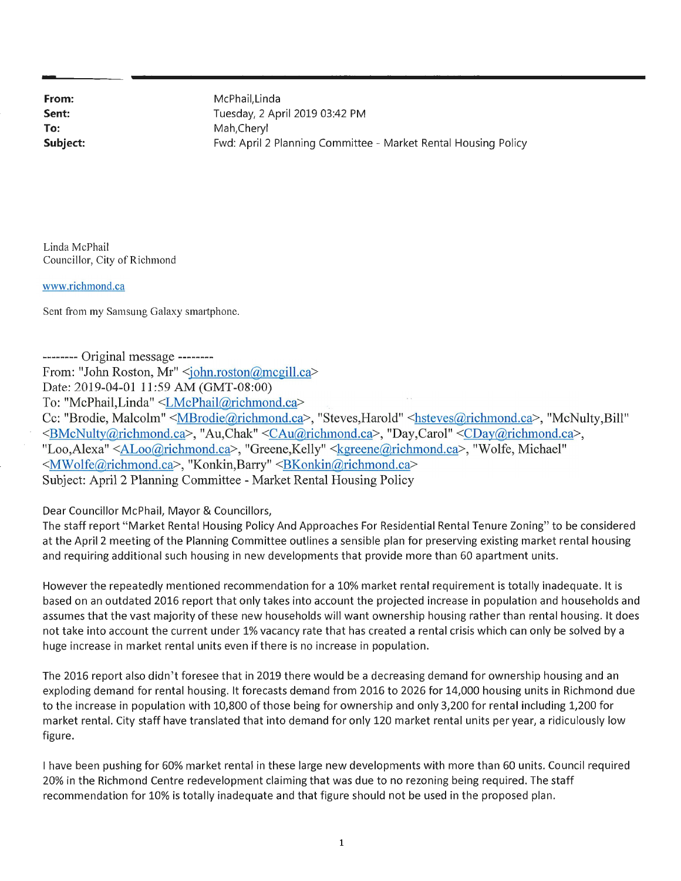**Sent: To:** 

**From:** McPhail, Linda Tuesday, 2 April 2019 03:42 PM Mah,Cheryl **Subject: Face 2 Following 2 Planning Committee - Market Rental Housing Policy Policy** 

Linda McPhail Councillor, City of Richmond

www.richmond.ca

Sent from my Samsung Galaxy smartphone.

-------- Original message -------- From: "John Roston, Mr" <john.roston@mcgill.ca> Date: 2019-04-01 11:59 AM (GMT-08:00) To: "McPhail,Linda" <LMcPhail@richmond.ca> Cc: "Brodie, Malcolm" <MBrodie@richmond.ca>, "Steves,Harold" <hsteves@richmond.ca>, "McNulty,Bill" <BMcNulty@richmond.ca>, "Au,Chak" <CAu@richmond.ca>, "Day,Carol" <CDay@richmond.ca>, "Loo,Alexa" <ALoo@richmond.ca>, "Greene,Kelly" <kgreene@richmond.ca>, "Wolfe, Michael" <MWolfe@richmond.ca>, "Konkin,Barry" <BKonkin@richmond.ca> Subject: April 2 Planning Committee - Market Rental Housing Policy

Dear Councillor McPhail, Mayor & Councillors,

The staff report "Market Rental Housing Policy And Approaches For Residential Rental Tenure Zoning" to be considered at the April 2 meeting of the Planning Committee outlines a sensible plan for preserving existing market rental housing and requiring additional such housing in new developments that provide more than 60 apartment units.

However the repeatedly mentioned recommendation for a 10% market rental requirement is totally inadequate. It is based on an outdated 2016 report that only takes into account the projected increase in population and households and assumes that the vast majority of these new households will want ownership housing rather than rental housing. It does not take into account the current under 1% vacancy rate that has created a rental crisis which can only be solved by a huge increase in market rental units even if there is no increase in population.

The 2016 report also didn't foresee that in 2019 there would be a decreasing demand for ownership housing and an exploding demand for rental housing. It forecasts demand from 2016 to 2026 for 14,000 housing units in Richmond due to the increase in population with 10,800 of those being for ownership and only 3,200 for rental including 1,200 for market rental. City staff have translated that into demand for only 120 market rental units per year, a ridiculously low figure.

I have been pushing for 60% market rental in these large new developments with more than 60 units. Council required 20% in the Richmond Centre redevelopment claiming that was due to no rezoning being required . The staff recommendation for 10% is totally inadequate and that figure should not be used in the proposed plan.